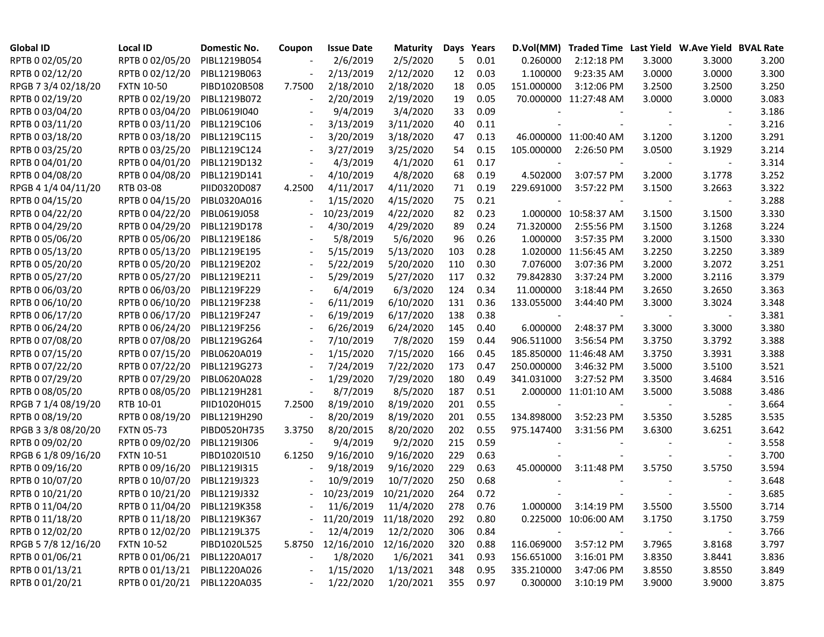| <b>Global ID</b>    | <b>Local ID</b>              | Domestic No. | Coupon                   | <b>Issue Date</b>       | <b>Maturity</b> |     | Days Years |                          | D.Vol(MM) Traded Time Last Yield W.Ave Yield BVAL Rate |        |        |       |
|---------------------|------------------------------|--------------|--------------------------|-------------------------|-----------------|-----|------------|--------------------------|--------------------------------------------------------|--------|--------|-------|
| RPTB 0 02/05/20     | RPTB 0 02/05/20              | PIBL1219B054 |                          | 2/6/2019                | 2/5/2020        | 5   | 0.01       | 0.260000                 | 2:12:18 PM                                             | 3.3000 | 3.3000 | 3.200 |
| RPTB 0 02/12/20     | RPTB 0 02/12/20              | PIBL1219B063 |                          | 2/13/2019               | 2/12/2020       | 12  | 0.03       | 1.100000                 | 9:23:35 AM                                             | 3.0000 | 3.0000 | 3.300 |
| RPGB 7 3/4 02/18/20 | <b>FXTN 10-50</b>            | PIBD1020B508 | 7.7500                   | 2/18/2010               | 2/18/2020       | 18  | 0.05       | 151.000000               | 3:12:06 PM                                             | 3.2500 | 3.2500 | 3.250 |
| RPTB 0 02/19/20     | RPTB 0 02/19/20              | PIBL1219B072 |                          | 2/20/2019               | 2/19/2020       | 19  | 0.05       |                          | 70.000000 11:27:48 AM                                  | 3.0000 | 3.0000 | 3.083 |
| RPTB 0 03/04/20     | RPTB 0 03/04/20              | PIBL0619I040 |                          | 9/4/2019                | 3/4/2020        | 33  | 0.09       |                          |                                                        |        |        | 3.186 |
| RPTB 0 03/11/20     | RPTB 0 03/11/20              | PIBL1219C106 |                          | 3/13/2019               | 3/11/2020       | 40  | 0.11       |                          |                                                        |        |        | 3.216 |
| RPTB 0 03/18/20     | RPTB 0 03/18/20              | PIBL1219C115 |                          | 3/20/2019               | 3/18/2020       | 47  | 0.13       |                          | 46.000000 11:00:40 AM                                  | 3.1200 | 3.1200 | 3.291 |
| RPTB 0 03/25/20     | RPTB 0 03/25/20              | PIBL1219C124 |                          | 3/27/2019               | 3/25/2020       | 54  | 0.15       | 105.000000               | 2:26:50 PM                                             | 3.0500 | 3.1929 | 3.214 |
| RPTB 0 04/01/20     | RPTB 0 04/01/20              | PIBL1219D132 |                          | 4/3/2019                | 4/1/2020        | 61  | 0.17       |                          |                                                        |        |        | 3.314 |
| RPTB 0 04/08/20     | RPTB 0 04/08/20              | PIBL1219D141 | $\overline{\phantom{a}}$ | 4/10/2019               | 4/8/2020        | 68  | 0.19       | 4.502000                 | 3:07:57 PM                                             | 3.2000 | 3.1778 | 3.252 |
| RPGB 4 1/4 04/11/20 | RTB 03-08                    | PIID0320D087 | 4.2500                   | 4/11/2017               | 4/11/2020       | 71  | 0.19       | 229.691000               | 3:57:22 PM                                             | 3.1500 | 3.2663 | 3.322 |
| RPTB 0 04/15/20     | RPTB 0 04/15/20              | PIBL0320A016 | $\blacksquare$           | 1/15/2020               | 4/15/2020       | 75  | 0.21       |                          |                                                        |        |        | 3.288 |
| RPTB 0 04/22/20     | RPTB 0 04/22/20              | PIBL0619J058 |                          | 10/23/2019              | 4/22/2020       | 82  | 0.23       |                          | 1.000000 10:58:37 AM                                   | 3.1500 | 3.1500 | 3.330 |
| RPTB 0 04/29/20     | RPTB 0 04/29/20              | PIBL1219D178 |                          | 4/30/2019               | 4/29/2020       | 89  | 0.24       | 71.320000                | 2:55:56 PM                                             | 3.1500 | 3.1268 | 3.224 |
| RPTB 0 05/06/20     | RPTB 0 05/06/20              | PIBL1219E186 |                          | 5/8/2019                | 5/6/2020        | 96  | 0.26       | 1.000000                 | 3:57:35 PM                                             | 3.2000 | 3.1500 | 3.330 |
| RPTB 0 05/13/20     | RPTB 0 05/13/20              | PIBL1219E195 |                          | 5/15/2019               | 5/13/2020       | 103 | 0.28       |                          | 1.020000 11:56:45 AM                                   | 3.2250 | 3.2250 | 3.389 |
| RPTB 0 05/20/20     | RPTB 0 05/20/20              | PIBL1219E202 |                          | 5/22/2019               | 5/20/2020       | 110 | 0.30       | 7.076000                 | 3:07:36 PM                                             | 3.2000 | 3.2072 | 3.251 |
| RPTB 0 05/27/20     | RPTB 0 05/27/20              | PIBL1219E211 |                          | 5/29/2019               | 5/27/2020       | 117 | 0.32       | 79.842830                | 3:37:24 PM                                             | 3.2000 | 3.2116 | 3.379 |
| RPTB 0 06/03/20     | RPTB 0 06/03/20              | PIBL1219F229 |                          | 6/4/2019                | 6/3/2020        | 124 | 0.34       | 11.000000                | 3:18:44 PM                                             | 3.2650 | 3.2650 | 3.363 |
| RPTB 0 06/10/20     | RPTB 0 06/10/20              | PIBL1219F238 |                          | 6/11/2019               | 6/10/2020       | 131 | 0.36       | 133.055000               | 3:44:40 PM                                             | 3.3000 | 3.3024 | 3.348 |
| RPTB 0 06/17/20     | RPTB 0 06/17/20              | PIBL1219F247 |                          | 6/19/2019               | 6/17/2020       | 138 | 0.38       | $\overline{\phantom{a}}$ |                                                        |        |        | 3.381 |
| RPTB 0 06/24/20     | RPTB 0 06/24/20              | PIBL1219F256 |                          | 6/26/2019               | 6/24/2020       | 145 | 0.40       | 6.000000                 | 2:48:37 PM                                             | 3.3000 | 3.3000 | 3.380 |
| RPTB 0 07/08/20     | RPTB 0 07/08/20              | PIBL1219G264 |                          | 7/10/2019               | 7/8/2020        | 159 | 0.44       | 906.511000               | 3:56:54 PM                                             | 3.3750 | 3.3792 | 3.388 |
| RPTB 0 07/15/20     | RPTB 0 07/15/20              | PIBL0620A019 |                          | 1/15/2020               | 7/15/2020       | 166 | 0.45       |                          | 185.850000 11:46:48 AM                                 | 3.3750 | 3.3931 | 3.388 |
| RPTB 0 07/22/20     | RPTB 0 07/22/20              | PIBL1219G273 |                          | 7/24/2019               | 7/22/2020       | 173 | 0.47       | 250.000000               | 3:46:32 PM                                             | 3.5000 | 3.5100 | 3.521 |
| RPTB 0 07/29/20     | RPTB 0 07/29/20              | PIBL0620A028 |                          | 1/29/2020               | 7/29/2020       | 180 | 0.49       | 341.031000               | 3:27:52 PM                                             | 3.3500 | 3.4684 | 3.516 |
| RPTB 0 08/05/20     | RPTB 0 08/05/20              | PIBL1219H281 |                          | 8/7/2019                | 8/5/2020        | 187 | 0.51       |                          | 2.000000 11:01:10 AM                                   | 3.5000 | 3.5088 | 3.486 |
| RPGB 7 1/4 08/19/20 | RTB 10-01                    | PIID1020H015 | 7.2500                   | 8/19/2010               | 8/19/2020       | 201 | 0.55       |                          |                                                        |        |        | 3.664 |
| RPTB 0 08/19/20     | RPTB 0 08/19/20              | PIBL1219H290 |                          | 8/20/2019               | 8/19/2020       | 201 | 0.55       | 134.898000               | 3:52:23 PM                                             | 3.5350 | 3.5285 | 3.535 |
| RPGB 3 3/8 08/20/20 | <b>FXTN 05-73</b>            | PIBD0520H735 | 3.3750                   | 8/20/2015               | 8/20/2020       | 202 | 0.55       | 975.147400               | 3:31:56 PM                                             | 3.6300 | 3.6251 | 3.642 |
| RPTB 0 09/02/20     | RPTB 0 09/02/20              | PIBL1219I306 |                          | 9/4/2019                | 9/2/2020        | 215 | 0.59       |                          |                                                        |        |        | 3.558 |
| RPGB 6 1/8 09/16/20 | <b>FXTN 10-51</b>            | PIBD1020I510 | 6.1250                   | 9/16/2010               | 9/16/2020       | 229 | 0.63       |                          |                                                        |        |        | 3.700 |
| RPTB 0 09/16/20     | RPTB 0 09/16/20              | PIBL1219I315 |                          | 9/18/2019               | 9/16/2020       | 229 | 0.63       | 45.000000                | 3:11:48 PM                                             | 3.5750 | 3.5750 | 3.594 |
| RPTB 0 10/07/20     | RPTB 0 10/07/20              | PIBL1219J323 |                          | 10/9/2019               | 10/7/2020       | 250 | 0.68       |                          |                                                        |        |        | 3.648 |
| RPTB 0 10/21/20     | RPTB 0 10/21/20              | PIBL1219J332 |                          | 10/23/2019              | 10/21/2020      | 264 | 0.72       |                          |                                                        |        |        | 3.685 |
| RPTB 0 11/04/20     | RPTB 0 11/04/20 PIBL1219K358 |              |                          | $-11/6/2019$            | 11/4/2020       | 278 | 0.76       | 1.000000                 | 3:14:19 PM                                             | 3.5500 | 3.5500 | 3.714 |
| RPTB 0 11/18/20     | RPTB 0 11/18/20 PIBL1219K367 |              |                          | - 11/20/2019 11/18/2020 |                 | 292 | 0.80       |                          | 0.225000 10:06:00 AM                                   | 3.1750 | 3.1750 | 3.759 |
| RPTB 0 12/02/20     | RPTB 0 12/02/20              | PIBL1219L375 |                          | 12/4/2019               | 12/2/2020       | 306 | 0.84       |                          |                                                        |        |        | 3.766 |
| RPGB 5 7/8 12/16/20 | <b>FXTN 10-52</b>            | PIBD1020L525 | 5.8750                   | 12/16/2010 12/16/2020   |                 | 320 | 0.88       | 116.069000               | 3:57:12 PM                                             | 3.7965 | 3.8168 | 3.797 |
| RPTB 0 01/06/21     | RPTB 0 01/06/21              | PIBL1220A017 |                          | 1/8/2020                | 1/6/2021        | 341 | 0.93       | 156.651000               | 3:16:01 PM                                             | 3.8350 | 3.8441 | 3.836 |
| RPTB 0 01/13/21     | RPTB 0 01/13/21              | PIBL1220A026 |                          | 1/15/2020               | 1/13/2021       | 348 | 0.95       | 335.210000               | 3:47:06 PM                                             | 3.8550 | 3.8550 | 3.849 |
| RPTB 0 01/20/21     | RPTB 0 01/20/21 PIBL1220A035 |              |                          | 1/22/2020               | 1/20/2021       | 355 | 0.97       | 0.300000                 | 3:10:19 PM                                             | 3.9000 | 3.9000 | 3.875 |
|                     |                              |              |                          |                         |                 |     |            |                          |                                                        |        |        |       |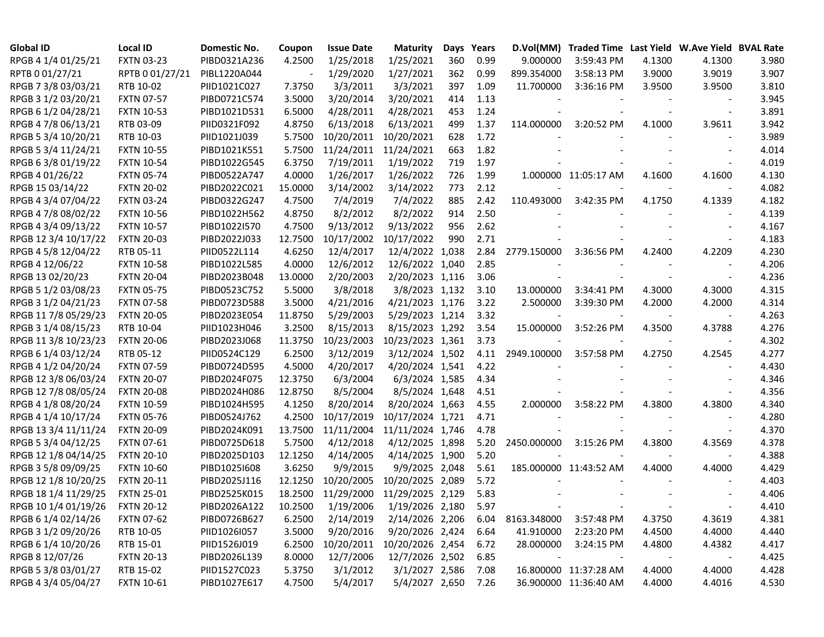| <b>Global ID</b>     | <b>Local ID</b>   | Domestic No. | Coupon  | <b>Issue Date</b> | <b>Maturity</b>  | Days | Years | D.Vol(MM)   | Traded Time Last Yield W.Ave Yield BVAL Rate |        |                          |       |
|----------------------|-------------------|--------------|---------|-------------------|------------------|------|-------|-------------|----------------------------------------------|--------|--------------------------|-------|
| RPGB 4 1/4 01/25/21  | <b>FXTN 03-23</b> | PIBD0321A236 | 4.2500  | 1/25/2018         | 1/25/2021        | 360  | 0.99  | 9.000000    | 3:59:43 PM                                   | 4.1300 | 4.1300                   | 3.980 |
| RPTB 0 01/27/21      | RPTB 0 01/27/21   | PIBL1220A044 |         | 1/29/2020         | 1/27/2021        | 362  | 0.99  | 899.354000  | 3:58:13 PM                                   | 3.9000 | 3.9019                   | 3.907 |
| RPGB 7 3/8 03/03/21  | RTB 10-02         | PIID1021C027 | 7.3750  | 3/3/2011          | 3/3/2021         | 397  | 1.09  | 11.700000   | 3:36:16 PM                                   | 3.9500 | 3.9500                   | 3.810 |
| RPGB 3 1/2 03/20/21  | <b>FXTN 07-57</b> | PIBD0721C574 | 3.5000  | 3/20/2014         | 3/20/2021        | 414  | 1.13  |             |                                              |        |                          | 3.945 |
| RPGB 6 1/2 04/28/21  | <b>FXTN 10-53</b> | PIBD1021D531 | 6.5000  | 4/28/2011         | 4/28/2021        | 453  | 1.24  |             |                                              |        |                          | 3.891 |
| RPGB 4 7/8 06/13/21  | RTB 03-09         | PIID0321F092 | 4.8750  | 6/13/2018         | 6/13/2021        | 499  | 1.37  | 114.000000  | 3:20:52 PM                                   | 4.1000 | 3.9611                   | 3.942 |
| RPGB 5 3/4 10/20/21  | RTB 10-03         | PIID1021J039 | 5.7500  | 10/20/2011        | 10/20/2021       | 628  | 1.72  |             |                                              |        |                          | 3.989 |
| RPGB 5 3/4 11/24/21  | <b>FXTN 10-55</b> | PIBD1021K551 | 5.7500  | 11/24/2011        | 11/24/2021       | 663  | 1.82  |             |                                              |        |                          | 4.014 |
| RPGB 63/8 01/19/22   | <b>FXTN 10-54</b> | PIBD1022G545 | 6.3750  | 7/19/2011         | 1/19/2022        | 719  | 1.97  |             |                                              |        |                          | 4.019 |
| RPGB 4 01/26/22      | <b>FXTN 05-74</b> | PIBD0522A747 | 4.0000  | 1/26/2017         | 1/26/2022        | 726  | 1.99  |             | 1.000000 11:05:17 AM                         | 4.1600 | 4.1600                   | 4.130 |
| RPGB 15 03/14/22     | <b>FXTN 20-02</b> | PIBD2022C021 | 15.0000 | 3/14/2002         | 3/14/2022        | 773  | 2.12  |             |                                              |        | $\blacksquare$           | 4.082 |
| RPGB 4 3/4 07/04/22  | <b>FXTN 03-24</b> | PIBD0322G247 | 4.7500  | 7/4/2019          | 7/4/2022         | 885  | 2.42  | 110.493000  | 3:42:35 PM                                   | 4.1750 | 4.1339                   | 4.182 |
| RPGB 4 7/8 08/02/22  | <b>FXTN 10-56</b> | PIBD1022H562 | 4.8750  | 8/2/2012          | 8/2/2022         | 914  | 2.50  |             |                                              |        |                          | 4.139 |
| RPGB 4 3/4 09/13/22  | <b>FXTN 10-57</b> | PIBD1022I570 | 4.7500  | 9/13/2012         | 9/13/2022        | 956  | 2.62  |             |                                              |        |                          | 4.167 |
| RPGB 12 3/4 10/17/22 | <b>FXTN 20-03</b> | PIBD2022J033 | 12.7500 | 10/17/2002        | 10/17/2022       | 990  | 2.71  |             |                                              |        |                          | 4.183 |
| RPGB 4 5/8 12/04/22  | RTB 05-11         | PIID0522L114 | 4.6250  | 12/4/2017         | 12/4/2022 1,038  |      | 2.84  | 2779.150000 | 3:36:56 PM                                   | 4.2400 | 4.2209                   | 4.230 |
| RPGB 4 12/06/22      | <b>FXTN 10-58</b> | PIBD1022L585 | 4.0000  | 12/6/2012         | 12/6/2022 1,040  |      | 2.85  |             |                                              |        |                          | 4.206 |
| RPGB 13 02/20/23     | <b>FXTN 20-04</b> | PIBD2023B048 | 13.0000 | 2/20/2003         | 2/20/2023 1,116  |      | 3.06  |             |                                              |        |                          | 4.236 |
| RPGB 5 1/2 03/08/23  | <b>FXTN 05-75</b> | PIBD0523C752 | 5.5000  | 3/8/2018          | 3/8/2023 1,132   |      | 3.10  | 13.000000   | 3:34:41 PM                                   | 4.3000 | 4.3000                   | 4.315 |
| RPGB 3 1/2 04/21/23  | <b>FXTN 07-58</b> | PIBD0723D588 | 3.5000  | 4/21/2016         | 4/21/2023 1,176  |      | 3.22  | 2.500000    | 3:39:30 PM                                   | 4.2000 | 4.2000                   | 4.314 |
| RPGB 11 7/8 05/29/23 | <b>FXTN 20-05</b> | PIBD2023E054 | 11.8750 | 5/29/2003         | 5/29/2023 1,214  |      | 3.32  |             |                                              |        | $\overline{\phantom{a}}$ | 4.263 |
| RPGB 3 1/4 08/15/23  | RTB 10-04         | PIID1023H046 | 3.2500  | 8/15/2013         | 8/15/2023 1,292  |      | 3.54  | 15.000000   | 3:52:26 PM                                   | 4.3500 | 4.3788                   | 4.276 |
| RPGB 11 3/8 10/23/23 | <b>FXTN 20-06</b> | PIBD2023J068 | 11.3750 | 10/23/2003        | 10/23/2023 1,361 |      | 3.73  |             |                                              |        | $\blacksquare$           | 4.302 |
| RPGB 6 1/4 03/12/24  | RTB 05-12         | PIID0524C129 | 6.2500  | 3/12/2019         | 3/12/2024 1,502  |      | 4.11  | 2949.100000 | 3:57:58 PM                                   | 4.2750 | 4.2545                   | 4.277 |
| RPGB 4 1/2 04/20/24  | <b>FXTN 07-59</b> | PIBD0724D595 | 4.5000  | 4/20/2017         | 4/20/2024 1,541  |      | 4.22  |             |                                              |        |                          | 4.430 |
| RPGB 12 3/8 06/03/24 | <b>FXTN 20-07</b> | PIBD2024F075 | 12.3750 | 6/3/2004          | 6/3/2024 1,585   |      | 4.34  |             |                                              |        |                          | 4.346 |
| RPGB 12 7/8 08/05/24 | <b>FXTN 20-08</b> | PIBD2024H086 | 12.8750 | 8/5/2004          | 8/5/2024 1,648   |      | 4.51  |             |                                              |        |                          | 4.356 |
| RPGB 4 1/8 08/20/24  | <b>FXTN 10-59</b> | PIBD1024H595 | 4.1250  | 8/20/2014         | 8/20/2024 1,663  |      | 4.55  | 2.000000    | 3:58:22 PM                                   | 4.3800 | 4.3800                   | 4.340 |
| RPGB 4 1/4 10/17/24  | <b>FXTN 05-76</b> | PIBD0524J762 | 4.2500  | 10/17/2019        | 10/17/2024 1,721 |      | 4.71  |             |                                              |        |                          | 4.280 |
| RPGB 13 3/4 11/11/24 | <b>FXTN 20-09</b> | PIBD2024K091 | 13.7500 | 11/11/2004        | 11/11/2024 1,746 |      | 4.78  |             |                                              |        |                          | 4.370 |
| RPGB 5 3/4 04/12/25  | <b>FXTN 07-61</b> | PIBD0725D618 | 5.7500  | 4/12/2018         | 4/12/2025 1,898  |      | 5.20  | 2450.000000 | 3:15:26 PM                                   | 4.3800 | 4.3569                   | 4.378 |
| RPGB 12 1/8 04/14/25 | <b>FXTN 20-10</b> | PIBD2025D103 | 12.1250 | 4/14/2005         | 4/14/2025 1,900  |      | 5.20  |             |                                              |        |                          | 4.388 |
| RPGB 3 5/8 09/09/25  | <b>FXTN 10-60</b> | PIBD10251608 | 3.6250  | 9/9/2015          | 9/9/2025 2,048   |      | 5.61  |             | 185.000000 11:43:52 AM                       | 4.4000 | 4.4000                   | 4.429 |
| RPGB 12 1/8 10/20/25 | <b>FXTN 20-11</b> | PIBD2025J116 | 12.1250 | 10/20/2005        | 10/20/2025 2,089 |      | 5.72  |             |                                              |        |                          | 4.403 |
| RPGB 18 1/4 11/29/25 | <b>FXTN 25-01</b> | PIBD2525K015 | 18.2500 | 11/29/2000        | 11/29/2025 2,129 |      | 5.83  |             |                                              |        |                          | 4.406 |
| RPGB 10 1/4 01/19/26 | <b>FXTN 20-12</b> | PIBD2026A122 | 10.2500 | 1/19/2006         | 1/19/2026 2,180  |      | 5.97  |             |                                              |        |                          | 4.410 |
| RPGB 6 1/4 02/14/26  | <b>FXTN 07-62</b> | PIBD0726B627 | 6.2500  | 2/14/2019         | 2/14/2026 2,206  |      | 6.04  | 8163.348000 | 3:57:48 PM                                   | 4.3750 | 4.3619                   | 4.381 |
| RPGB 3 1/2 09/20/26  | RTB 10-05         | PIID1026I057 | 3.5000  | 9/20/2016         | 9/20/2026 2,424  |      | 6.64  | 41.910000   | 2:23:20 PM                                   | 4.4500 | 4.4000                   | 4.440 |
| RPGB 6 1/4 10/20/26  | RTB 15-01         | PIID1526J019 | 6.2500  | 10/20/2011        | 10/20/2026 2,454 |      | 6.72  | 28.000000   | 3:24:15 PM                                   | 4.4800 | 4.4382                   | 4.417 |
| RPGB 8 12/07/26      | <b>FXTN 20-13</b> | PIBD2026L139 | 8.0000  | 12/7/2006         | 12/7/2026 2,502  |      | 6.85  |             |                                              |        |                          | 4.425 |
| RPGB 5 3/8 03/01/27  | RTB 15-02         | PIID1527C023 | 5.3750  | 3/1/2012          | 3/1/2027 2,586   |      | 7.08  |             | 16.800000 11:37:28 AM                        | 4.4000 | 4.4000                   | 4.428 |
| RPGB 4 3/4 05/04/27  | <b>FXTN 10-61</b> | PIBD1027E617 | 4.7500  | 5/4/2017          | 5/4/2027 2,650   |      | 7.26  |             | 36.900000 11:36:40 AM                        | 4.4000 | 4.4016                   | 4.530 |